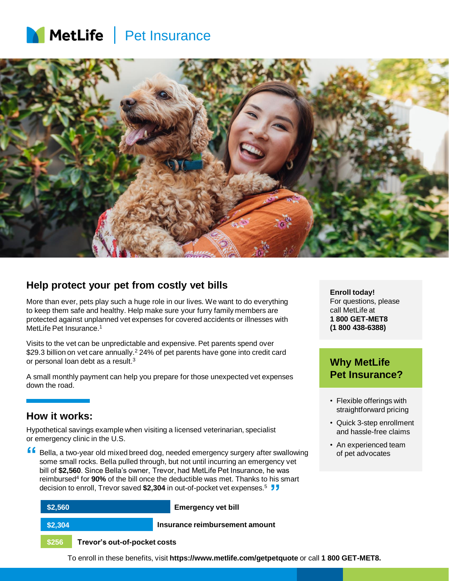



### **Help protect your pet from costly vet bills**

More than ever, pets play such a huge role in our lives. We want to do everything to keep them safe and healthy. Help make sure your furry family members are protected against unplanned vet expenses for covered accidents or illnesses with MetLife Pet Insurance.<sup>1</sup>

Visits to the vet can be unpredictable and expensive. Pet parents spend over \$29.3 billion on vet care annually.<sup>2</sup> 24% of pet parents have gone into credit card or personal loan debt as a result.<sup>3</sup>

A small monthly payment can help you prepare for those unexpected vet expenses down the road.

### **How it works:**

Hypothetical savings example when visiting a licensed veterinarian, specialist or emergency clinic in the U.S.

Bella, a two-year old mixed breed dog, needed emergency surgery after swallowing some small rocks. Bella pulled through, but not until incurring an emergency vet bill of **\$2,560**. Since Bella's owner, Trevor, had MetLife Pet Insurance, he was reimbursed<sup>4</sup> for **90%** of the bill once the deductible was met. Thanks to his smart decision to enroll, Trevor saved **\$2,304** in out-of-pocket vet expenses.<sup>5</sup> **" "**

| \$2,560 |                              | <b>Emergency vet bill</b>      |
|---------|------------------------------|--------------------------------|
| \$2,304 |                              | Insurance reimbursement amount |
| \$256   | Trevor's out-of-pocket costs |                                |

**Enroll today!** For questions, please call MetLife at **1 800 GET-MET8 (1 800 438-6388)**

### **Why MetLife Pet Insurance?**

- Flexible offerings with straightforward pricing
- Quick 3-step enrollment and hassle-free claims
- An experienced team of pet advocates

To enroll in these benefits, visit **https://www.metlife.com/getpetquote** or call **1 800 GET-MET8.**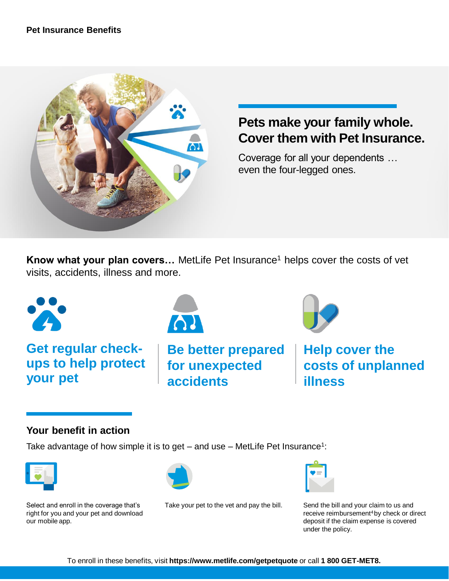

# **Pets make your family whole. Cover them with Pet Insurance.**

Coverage for all your dependents … even the four-legged ones.

**Know what your plan covers...** MetLife Pet Insurance<sup>1</sup> helps cover the costs of vet visits, accidents, illness and more.



# **Your benefit in action**

Take advantage of how simple it is to get  $-$  and use  $-$  MetLife Pet Insurance<sup>1</sup>:









Take your pet to the vet and pay the bill. Send the bill and your claim to us and



receive reimbursement<sup>4</sup> by check or direct deposit if the claim expense is covered under the policy.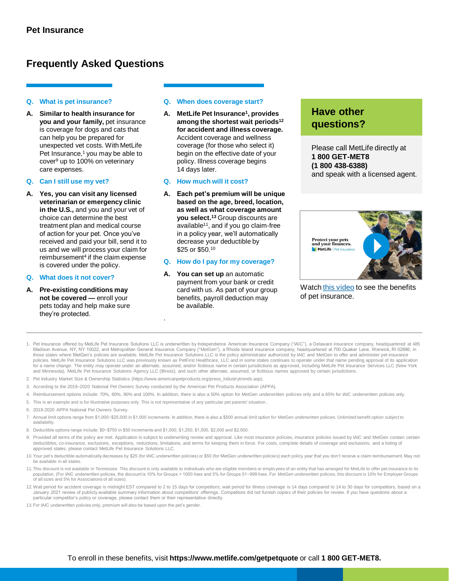### **Frequently Asked Questions**

#### **Q. What is pet insurance?**

**A. Similar to health insurance for you and your family,** pet insurance is coverage for dogs and cats that can help you be prepared for unexpected vet costs. With MetLife Pet Insurance,<sup>1</sup> you may be able to cover<sup>9</sup> up to 100% on veterinary care expenses.

#### **Q. Can I still use my vet?**

**A. Yes, you can visit any licensed veterinarian or emergency clinic in the U.S.,** and you and your vet of choice can determine the best treatment plan and medical course of action for your pet. Once you've received and paid your bill, send it to us and we will process your claim for reimbursement<sup>4</sup> if the claim expense is covered under the policy.

#### **Q. What does it not cover?**

**A. Pre-existing conditions may not be covered —** enroll your pets today and help make sure they're protected.

#### **Q. When does coverage start?**

**A. MetLife Pet Insurance<sup>1</sup> , provides among the shortest wait periods<sup>12</sup> for accident and illness coverage.**  Accident coverage and wellness coverage (for those who select it) begin on the effective date of your policy. Illness coverage begins 14 days later.

#### **Q. How much will it cost?**

**A. Each pet's premium will be unique based on the age, breed, location, as well as what coverage amount you select.<sup>13</sup>** Group discounts are available<sup>11</sup>, and if you go claim-free in a policy year, we'll automatically decrease your deductible by \$25 or \$50.<sup>10</sup>

#### **Q. How do I pay for my coverage?**

**A. You can set up** an automatic payment from your bank or credit card with us. As part of your group benefits, payroll deduction may be available.

## **Have other questions?**

Please call MetLife directly at **1 800 GET-MET8 (1 800 438-6388)** and speak with a licensed agent.



Watch [this video](https://players.brightcove.net/64298592001/default_default/index.html?videoId=6151317550001) to see the benefits of pet insurance.

- 1. Pet Insurance offered by MetLife Pet Insurance Solutions LLC is underwritten by Independence American Insurance Company ("IAIC"), a Delaware insurance company, headquartered at 485 Madison Avenue, NY, NY 10022, and Metropolitan General Insurance Company ("MetGen"), a Rhode Island insurance company, headquartered at 700 Quaker Lane, Warwick, RI 02886, in<br>those states where MetGen's policies are availa policies. MetLife Pet Insurance Solutions LLC was previously known as PetFirst Healthcare, LLC and in some states continues to operate under that name pending approval of its application for a name change. The entity may operate under an alternate, assumed, and/or fictitious name in certain jurisdictions as approved, including MetLife Pet Insurance Services LLC (New York and Minnesota), MetLife Pet Insurance Solutions Agency LLC (Illinois), and such other alternate, assumed, or fictitious names approved by certain jurisdictions.
- 2. Pet Industry Market Size & Ownership Statistics (https://www.americanpetproducts.org/press\_industrytrends.asp).
- 3. According to the 2019–2020 National Pet Owners Survey conducted by the American Pet Products Association (APPA).

.

- 4. Reimbursement options include: 70%, 80%, 90% and 100%. In addition, there is also a 50% option for MetGen underwritten policies only and a 65% for IAIC underwritten policies only.
- 5. This is an example and is for illustrative purposes only. This is not representative of any particular pet parents' situation..
- 6. 2019-2020 APPA National Pet Owners Survey.
- 7. Annual limit options range from \$1,000−\$25,000 in \$1,000 increments. In addition, there is also a \$500 annual limit option for MetGen underwritten policies. Unlimited benefit option subject to availability.
- 8. Deductible options range include: \$0−\$750 in \$50 increments and \$1,000, \$1,250, \$1,500, \$2,000 and \$2,500.
- 9. Provided all terms of the policy are met. Application is subject to underwriting review and approval. Like most insurance policies, insurance policies issued by IAIC and MetGen contain certain deductibles, co-insurance, exclusions, exceptions, reductions, limitations, and terms for keeping them in force. For costs, complete details of coverage and exclusions, and a listing of approved states, please contact MetLife Pet Insurance Solutions LLC.
- 10.Your pet's deductible automatically decreases by \$25 (for IAIC underwritten policies) or \$50 (for MetGen underwritten policies) each policy year that you don't receive a claim reimbursement. May not be available in all states.
- 11.This discount is not available in Tennessee. This discount is only available to individuals who are eligible members or employees of an entity that has arranged for MetLife to offer pet insurance to its population. (For IAIC underwritten policies, the discount is 10% for Groups > 1000 lives and 5% for Groups 51−999 lives. For MetGen underwritten policies, this discount is 10% for Employer Groups of all sizes and 5% for Associations of all sizes).
- 12.Wait period for accident coverage is midnight EST compared to 2 to 15 days for competitors; wait period for illness coverage is 14 days compared to 14 to 30 days for competitors, based on a January 2021 review of publicly available summary information about competitors' offerings. Competitors did not furnish copies of their policies for review. If you have questions about a particular competitor's policy or coverage, please contact them or their representative directly.
- 13.For IAIC underwritten policies only, premium will also be based upon the pet's gender.